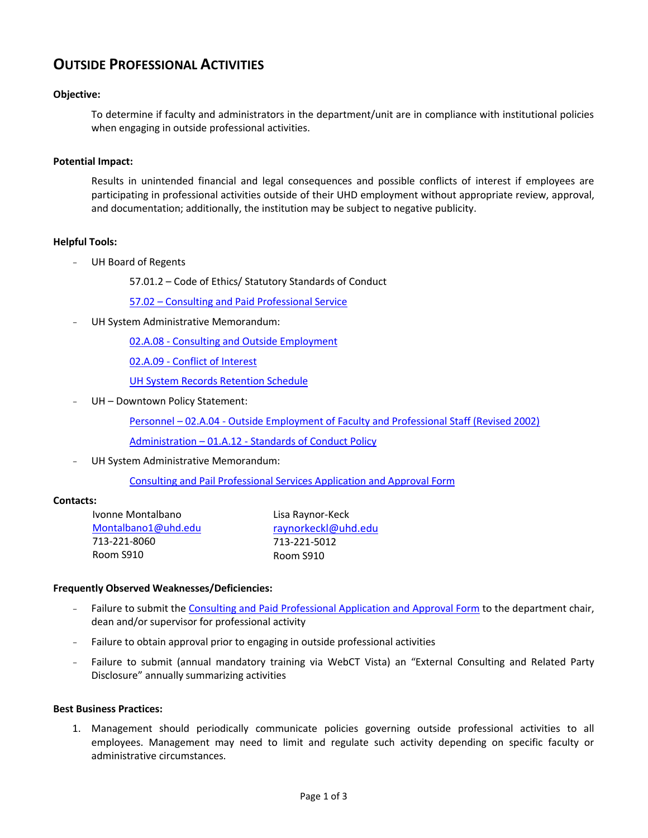# **OUTSIDE PROFESSIONAL ACTIVITIES**

## **Objective:**

To determine if faculty and administrators in the department/unit are in compliance with institutional policies when engaging in outside professional activities.

#### **Potential Impact:**

Results in unintended financial and legal consequences and possible conflicts of interest if employees are participating in professional activities outside of their UHD employment without appropriate review, approval, and documentation; additionally, the institution may be subject to negative publicity.

## **Helpful Tools:**

UH Board of Regents

57.01.2 – Code of Ethics/ Statutory Standards of Conduct

57.02 – [Consulting and Paid Professional Service](http://www.uhsa.uh.edu/regents/policy/af.html#personnel)

UH System Administrative Memorandum:

02.A.08 - [Consulting and Outside Employment](http://www.uhsa.uh.edu/sam/2HumanResources/2A8.pdf)

02.A.09 - [Conflict of Interest](http://www.uhsa.uh.edu/sam/2HumanResources/2A9.pdf)

[UH System Records Retention Schedule](http://www.uh.edu/finance/references/Record_Retention/Retention_Sch_6-7-04C.pdf)

UH - Downtown Policy Statement:

Personnel – 02.A.04 - [Outside Employment of Faculty and Professional Staff \(Revised 2002\)](http://www.uhd.edu/about/hr/PS02A04.pdf)

Administration – 01.A.12 - [Standards of Conduct Policy](http://www.uhd.edu/about/hr/PS01A12.pdf)

UH System Administrative Memorandum:

[Consulting and Pail Professional Services](http://www.uhd.edu/about/hr/forms/consulting.pdf) Application and Approval Form

#### **Contacts:**

Ivonne Montalbano [Montalbano1@uhd.edu](mailto:Montalbano1@uhd.edu) 713-221-8060 Room S910

Lisa Raynor-Keck [raynorkeckl@uhd.edu](http://global.dt.uh.edu:8080/feedback.asp?tofield=raynorkeckl@uhd.edu) 713-221-5012 Room S910

#### **Frequently Observed Weaknesses/Deficiencies:**

- Failure to submit the [Consulting and Paid Professional](http://www.uhd.edu/about/hr/forms/consulting.pdf) Application and Approval Form to the department chair, dean and/or supervisor for professional activity
- Failure to obtain approval prior to engaging in outside professional activities
- Failure to submit (annual mandatory training via WebCT Vista) an "External Consulting and Related Party Disclosure" annually summarizing activities

#### **Best Business Practices:**

1. Management should periodically communicate policies governing outside professional activities to all employees. Management may need to limit and regulate such activity depending on specific faculty or administrative circumstances.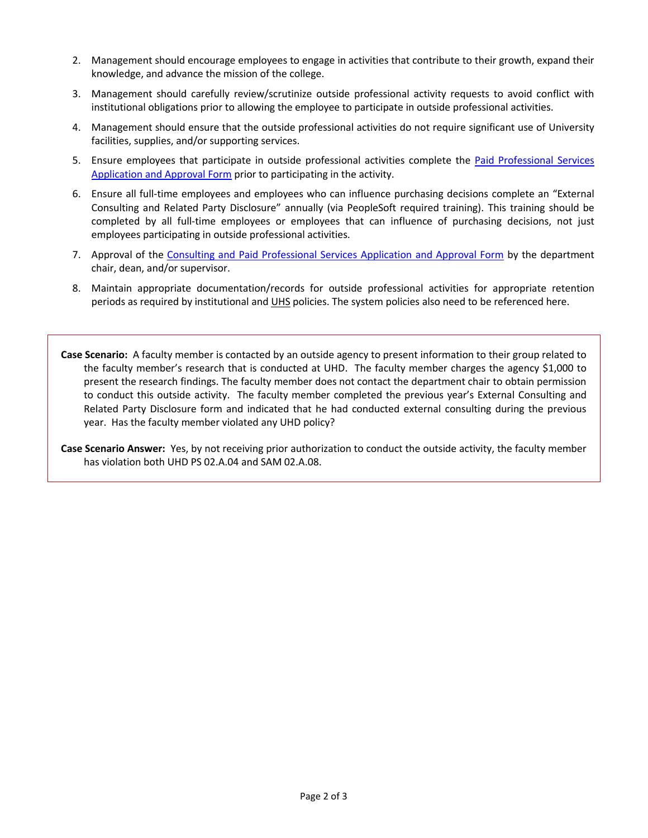- 2. Management should encourage employees to engage in activities that contribute to their growth, expand their knowledge, and advance the mission of the college.
- 3. Management should carefully review/scrutinize outside professional activity requests to avoid conflict with institutional obligations prior to allowing the employee to participate in outside professional activities.
- 4. Management should ensure that the outside professional activities do not require significant use of University facilities, supplies, and/or supporting services.
- 5. Ensure employees that participate in outside professional activities complete the Paid Professional Services [Application and Approval Form](http://www.uhd.edu/about/hr/forms/consulting.pdf) prior to participating in the activity.
- 6. Ensure all full-time employees and employees who can influence purchasing decisions complete an "External Consulting and Related Party Disclosure" annually (via PeopleSoft required training). This training should be completed by all full-time employees or employees that can influence of purchasing decisions, not just employees participating in outside professional activities.
- 7. Approval of the [Consulting and Paid Professional Services Application and Approval Form](http://www.uhd.edu/about/hr/forms/consulting.pdf) by the department chair, dean, and/or supervisor.
- 8. Maintain appropriate documentation/records for outside professional activities for appropriate retention periods as required by institutional and UHS policies. The system policies also need to be referenced here.

**Case Scenario:** A faculty member is contacted by an outside agency to present information to their group related to the faculty member's research that is conducted at UHD. The faculty member charges the agency \$1,000 to present the research findings. The faculty member does not contact the department chair to obtain permission to conduct this outside activity. The faculty member completed the previous year's External Consulting and Related Party Disclosure form and indicated that he had conducted external consulting during the previous year. Has the faculty member violated any UHD policy?

**Case Scenario Answer:** Yes, by not receiving prior authorization to conduct the outside activity, the faculty member has violation both UHD PS 02.A.04 and SAM 02.A.08.